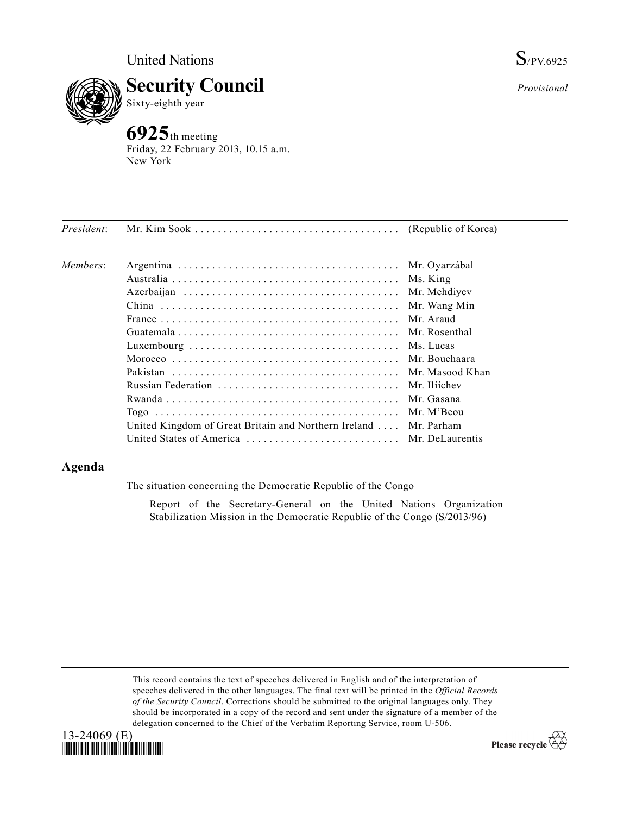



Friday, 22 February 2013, 10.15 a.m. New York

| President: |                                                                  |               |
|------------|------------------------------------------------------------------|---------------|
| Members:   |                                                                  | Mr. Oyarzábal |
|            |                                                                  | Ms. King      |
|            |                                                                  | Mr. Mehdiyev  |
|            |                                                                  | Mr. Wang Min  |
|            |                                                                  | Mr. Araud     |
|            |                                                                  | Mr. Rosenthal |
|            |                                                                  | Ms. Lucas     |
|            |                                                                  | Mr. Bouchaara |
|            |                                                                  |               |
|            |                                                                  | Mr. Iliichev  |
|            |                                                                  | Mr. Gasana    |
|            |                                                                  | Mr. M'Beou    |
|            | United Kingdom of Great Britain and Northern Ireland  Mr. Parham |               |
|            | United States of America  Mr. DeLaurentis                        |               |

# **Agenda**

The situation concerning the Democratic Republic of the Congo

Report of the Secretary-General on the United Nations Organization Stabilization Mission in the Democratic Republic of the Congo (S/2013/96)

This record contains the text of speeches delivered in English and of the interpretation of speeches delivered in the other languages. The final text will be printed in the *Official Records of the Security Council*. Corrections should be submitted to the original languages only. They should be incorporated in a copy of the record and sent under the signature of a member of the delegation concerned to the Chief of the Verbatim Reporting Service, room U-506.



Please recycle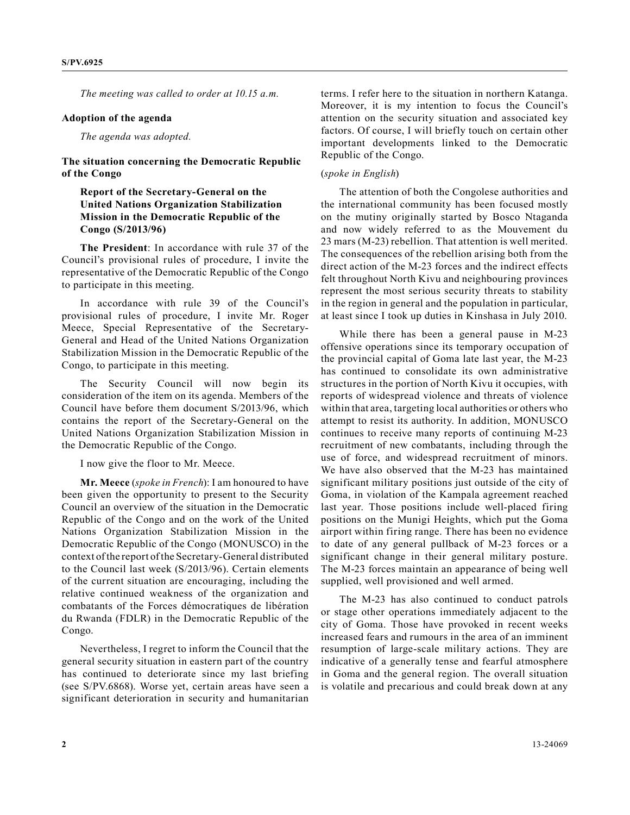*The meeting was called to order at 10.15 a.m.*

### **Adoption of the agenda**

*The agenda was adopted.*

### **The situation concerning the Democratic Republic of the Congo**

## **Report of the Secretary-General on the United Nations Organization Stabilization Mission in the Democratic Republic of the Congo (S/2013/96)**

**The President**: In accordance with rule 37 of the Council's provisional rules of procedure, I invite the representative of the Democratic Republic of the Congo to participate in this meeting.

In accordance with rule 39 of the Council's provisional rules of procedure, I invite Mr. Roger Meece, Special Representative of the Secretary-General and Head of the United Nations Organization Stabilization Mission in the Democratic Republic of the Congo, to participate in this meeting.

The Security Council will now begin its consideration of the item on its agenda. Members of the Council have before them document S/2013/96, which contains the report of the Secretary-General on the United Nations Organization Stabilization Mission in the Democratic Republic of the Congo.

I now give the floor to Mr. Meece.

**Mr. Meece** (*spoke in French*): I am honoured to have been given the opportunity to present to the Security Council an overview of the situation in the Democratic Republic of the Congo and on the work of the United Nations Organization Stabilization Mission in the Democratic Republic of the Congo (MONUSCO) in the context of the report of the Secretary-General distributed to the Council last week (S/2013/96). Certain elements of the current situation are encouraging, including the relative continued weakness of the organization and combatants of the Forces démocratiques de libération du Rwanda (FDLR) in the Democratic Republic of the Congo.

Nevertheless, I regret to inform the Council that the general security situation in eastern part of the country has continued to deteriorate since my last briefing (see S/PV.6868). Worse yet, certain areas have seen a significant deterioration in security and humanitarian terms. I refer here to the situation in northern Katanga. Moreover, it is my intention to focus the Council's attention on the security situation and associated key factors. Of course, I will briefly touch on certain other important developments linked to the Democratic Republic of the Congo.

### (*spoke in English*)

The attention of both the Congolese authorities and the international community has been focused mostly on the mutiny originally started by Bosco Ntaganda and now widely referred to as the Mouvement du 23 mars (M-23) rebellion. That attention is well merited. The consequences of the rebellion arising both from the direct action of the M-23 forces and the indirect effects felt throughout North Kivu and neighbouring provinces represent the most serious security threats to stability in the region in general and the population in particular, at least since I took up duties in Kinshasa in July 2010.

While there has been a general pause in M-23 offensive operations since its temporary occupation of the provincial capital of Goma late last year, the M-23 has continued to consolidate its own administrative structures in the portion of North Kivu it occupies, with reports of widespread violence and threats of violence within that area, targeting local authorities or others who attempt to resist its authority. In addition, MONUSCO continues to receive many reports of continuing M-23 recruitment of new combatants, including through the use of force, and widespread recruitment of minors. We have also observed that the M-23 has maintained significant military positions just outside of the city of Goma, in violation of the Kampala agreement reached last year. Those positions include well-placed firing positions on the Munigi Heights, which put the Goma airport within firing range. There has been no evidence to date of any general pullback of M-23 forces or a significant change in their general military posture. The M-23 forces maintain an appearance of being well supplied, well provisioned and well armed.

The M-23 has also continued to conduct patrols or stage other operations immediately adjacent to the city of Goma. Those have provoked in recent weeks increased fears and rumours in the area of an imminent resumption of large-scale military actions. They are indicative of a generally tense and fearful atmosphere in Goma and the general region. The overall situation is volatile and precarious and could break down at any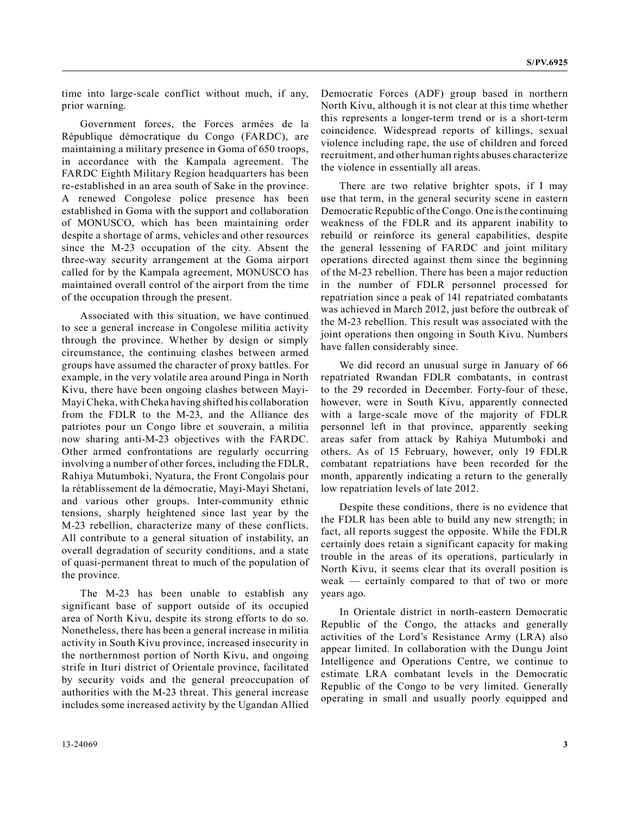time into large-scale conflict without much, if any, prior warning.

Government forces, the Forces armées de la République démocratique du Congo (FARDC), are maintaining a military presence in Goma of 650 troops, in accordance with the Kampala agreement. The FARDC Eighth Military Region headquarters has been re-established in an area south of Sake in the province. A renewed Congolese police presence has been established in Goma with the support and collaboration of MONUSCO, which has been maintaining order despite a shortage of arms, vehicles and other resources since the M-23 occupation of the city. Absent the three-way security arrangement at the Goma airport called for by the Kampala agreement, MONUSCO has maintained overall control of the airport from the time of the occupation through the present.

Associated with this situation, we have continued to see a general increase in Congolese militia activity through the province. Whether by design or simply circumstance, the continuing clashes between armed groups have assumed the character of proxy battles. For example, in the very volatile area around Pinga in North Kivu, there have been ongoing clashes between Mayi-Mayi Cheka, with Cheka having shifted his collaboration from the FDLR to the M-23, and the Alliance des patriotes pour un Congo libre et souverain, a militia now sharing anti-M-23 objectives with the FARDC. Other armed confrontations are regularly occurring involving a number of other forces, including the FDLR, Rahiya Mutumboki, Nyatura, the Front Congolais pour la rétablissement de la démocratie, Mayi-Mayi Shetani, and various other groups. Inter-community ethnic tensions, sharply heightened since last year by the M-23 rebellion, characterize many of these conflicts. All contribute to a general situation of instability, an overall degradation of security conditions, and a state of quasi-permanent threat to much of the population of the province.

The M-23 has been unable to establish any significant base of support outside of its occupied area of North Kivu, despite its strong efforts to do so. Nonetheless, there has been a general increase in militia activity in South Kivu province, increased insecurity in the northernmost portion of North Kivu, and ongoing strife in Ituri district of Orientale province, facilitated by security voids and the general preoccupation of authorities with the M-23 threat. This general increase includes some increased activity by the Ugandan Allied

Democratic Forces (ADF) group based in northern North Kivu, although it is not clear at this time whether this represents a longer-term trend or is a short-term coincidence. Widespread reports of killings, sexual violence including rape, the use of children and forced recruitment, and other human rights abuses characterize the violence in essentially all areas.

There are two relative brighter spots, if I may use that term, in the general security scene in eastern Democratic Republic of the Congo. One is the continuing weakness of the FDLR and its apparent inability to rebuild or reinforce its general capabilities, despite the general lessening of FARDC and joint military operations directed against them since the beginning of the M-23 rebellion. There has been a major reduction in the number of FDLR personnel processed for repatriation since a peak of 141 repatriated combatants was achieved in March 2012, just before the outbreak of the M-23 rebellion. This result was associated with the joint operations then ongoing in South Kivu. Numbers have fallen considerably since.

We did record an unusual surge in January of 66 repatriated Rwandan FDLR combatants, in contrast to the 29 recorded in December. Forty-four of these, however, were in South Kivu, apparently connected with a large-scale move of the majority of FDLR personnel left in that province, apparently seeking areas safer from attack by Rahiya Mutumboki and others. As of 15 February, however, only 19 FDLR combatant repatriations have been recorded for the month, apparently indicating a return to the generally low repatriation levels of late 2012.

Despite these conditions, there is no evidence that the FDLR has been able to build any new strength; in fact, all reports suggest the opposite. While the FDLR certainly does retain a significant capacity for making trouble in the areas of its operations, particularly in North Kivu, it seems clear that its overall position is weak — certainly compared to that of two or more years ago.

In Orientale district in north-eastern Democratic Republic of the Congo, the attacks and generally activities of the Lord's Resistance Army (LRA) also appear limited. In collaboration with the Dungu Joint Intelligence and Operations Centre, we continue to estimate LRA combatant levels in the Democratic Republic of the Congo to be very limited. Generally operating in small and usually poorly equipped and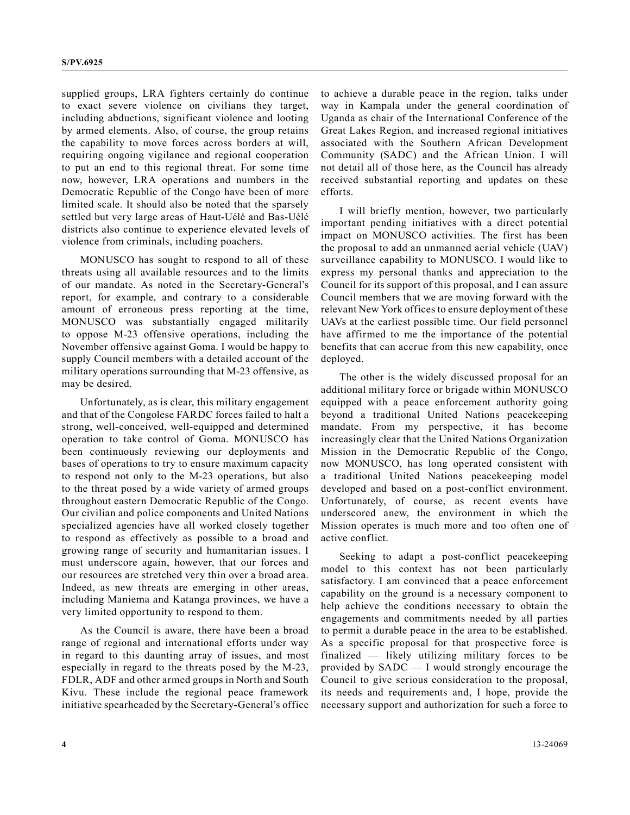supplied groups, LRA fighters certainly do continue to exact severe violence on civilians they target, including abductions, significant violence and looting by armed elements. Also, of course, the group retains the capability to move forces across borders at will, requiring ongoing vigilance and regional cooperation to put an end to this regional threat. For some time now, however, LRA operations and numbers in the Democratic Republic of the Congo have been of more limited scale. It should also be noted that the sparsely settled but very large areas of Haut-Uélé and Bas-Uélé districts also continue to experience elevated levels of violence from criminals, including poachers.

MONUSCO has sought to respond to all of these threats using all available resources and to the limits of our mandate. As noted in the Secretary-General's report, for example, and contrary to a considerable amount of erroneous press reporting at the time, MONUSCO was substantially engaged militarily to oppose M-23 offensive operations, including the November offensive against Goma. I would be happy to supply Council members with a detailed account of the military operations surrounding that M-23 offensive, as may be desired.

Unfortunately, as is clear, this military engagement and that of the Congolese FARDC forces failed to halt a strong, well-conceived, well-equipped and determined operation to take control of Goma. MONUSCO has been continuously reviewing our deployments and bases of operations to try to ensure maximum capacity to respond not only to the M-23 operations, but also to the threat posed by a wide variety of armed groups throughout eastern Democratic Republic of the Congo. Our civilian and police components and United Nations specialized agencies have all worked closely together to respond as effectively as possible to a broad and growing range of security and humanitarian issues. I must underscore again, however, that our forces and our resources are stretched very thin over a broad area. Indeed, as new threats are emerging in other areas, including Maniema and Katanga provinces, we have a very limited opportunity to respond to them.

As the Council is aware, there have been a broad range of regional and international efforts under way in regard to this daunting array of issues, and most especially in regard to the threats posed by the M-23, FDLR, ADF and other armed groups in North and South Kivu. These include the regional peace framework initiative spearheaded by the Secretary-General's office

to achieve a durable peace in the region, talks under way in Kampala under the general coordination of Uganda as chair of the International Conference of the Great Lakes Region, and increased regional initiatives associated with the Southern African Development Community (SADC) and the African Union. I will not detail all of those here, as the Council has already received substantial reporting and updates on these efforts.

I will briefly mention, however, two particularly important pending initiatives with a direct potential impact on MONUSCO activities. The first has been the proposal to add an unmanned aerial vehicle (UAV) surveillance capability to MONUSCO. I would like to express my personal thanks and appreciation to the Council for its support of this proposal, and I can assure Council members that we are moving forward with the relevant New York offices to ensure deployment of these UAVs at the earliest possible time. Our field personnel have affirmed to me the importance of the potential benefits that can accrue from this new capability, once deployed.

The other is the widely discussed proposal for an additional military force or brigade within MONUSCO equipped with a peace enforcement authority going beyond a traditional United Nations peacekeeping mandate. From my perspective, it has become increasingly clear that the United Nations Organization Mission in the Democratic Republic of the Congo, now MONUSCO, has long operated consistent with a traditional United Nations peacekeeping model developed and based on a post-conflict environment. Unfortunately, of course, as recent events have underscored anew, the environment in which the Mission operates is much more and too often one of active conflict.

Seeking to adapt a post-conflict peacekeeping model to this context has not been particularly satisfactory. I am convinced that a peace enforcement capability on the ground is a necessary component to help achieve the conditions necessary to obtain the engagements and commitments needed by all parties to permit a durable peace in the area to be established. As a specific proposal for that prospective force is finalized — likely utilizing military forces to be provided by SADC — I would strongly encourage the Council to give serious consideration to the proposal, its needs and requirements and, I hope, provide the necessary support and authorization for such a force to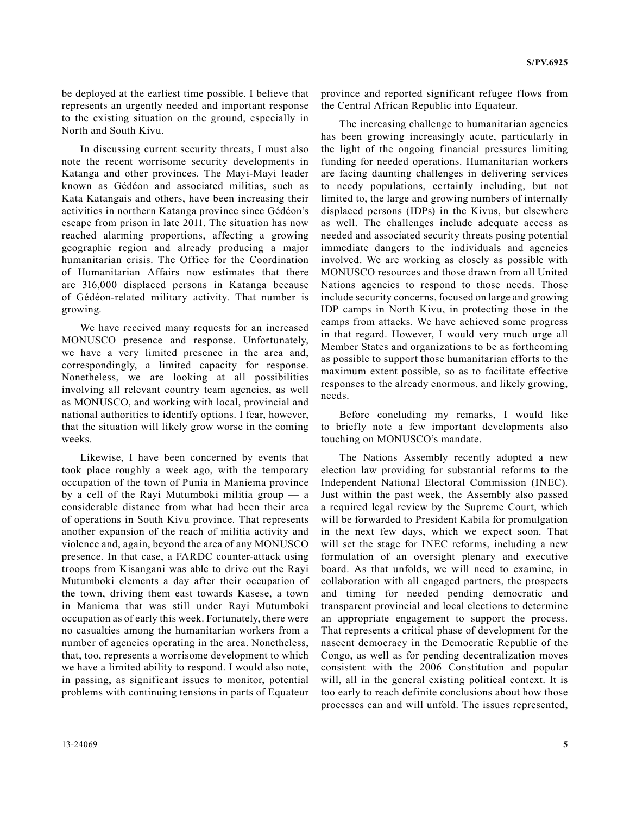be deployed at the earliest time possible. I believe that represents an urgently needed and important response to the existing situation on the ground, especially in North and South Kivu.

In discussing current security threats, I must also note the recent worrisome security developments in Katanga and other provinces. The Mayi-Mayi leader known as Gédéon and associated militias, such as Kata Katangais and others, have been increasing their activities in northern Katanga province since Gédéon's escape from prison in late 2011. The situation has now reached alarming proportions, affecting a growing geographic region and already producing a major humanitarian crisis. The Office for the Coordination of Humanitarian Affairs now estimates that there are 316,000 displaced persons in Katanga because of Gédéon-related military activity. That number is growing.

We have received many requests for an increased MONUSCO presence and response. Unfortunately, we have a very limited presence in the area and, correspondingly, a limited capacity for response. Nonetheless, we are looking at all possibilities involving all relevant country team agencies, as well as MONUSCO, and working with local, provincial and national authorities to identify options. I fear, however, that the situation will likely grow worse in the coming weeks.

Likewise, I have been concerned by events that took place roughly a week ago, with the temporary occupation of the town of Punia in Maniema province by a cell of the Rayi Mutumboki militia group — a considerable distance from what had been their area of operations in South Kivu province. That represents another expansion of the reach of militia activity and violence and, again, beyond the area of any MONUSCO presence. In that case, a FARDC counter-attack using troops from Kisangani was able to drive out the Rayi Mutumboki elements a day after their occupation of the town, driving them east towards Kasese, a town in Maniema that was still under Rayi Mutumboki occupation as of early this week. Fortunately, there were no casualties among the humanitarian workers from a number of agencies operating in the area. Nonetheless, that, too, represents a worrisome development to which we have a limited ability to respond. I would also note, in passing, as significant issues to monitor, potential problems with continuing tensions in parts of Equateur

province and reported significant refugee flows from the Central African Republic into Equateur.

The increasing challenge to humanitarian agencies has been growing increasingly acute, particularly in the light of the ongoing financial pressures limiting funding for needed operations. Humanitarian workers are facing daunting challenges in delivering services to needy populations, certainly including, but not limited to, the large and growing numbers of internally displaced persons (IDPs) in the Kivus, but elsewhere as well. The challenges include adequate access as needed and associated security threats posing potential immediate dangers to the individuals and agencies involved. We are working as closely as possible with MONUSCO resources and those drawn from all United Nations agencies to respond to those needs. Those include security concerns, focused on large and growing IDP camps in North Kivu, in protecting those in the camps from attacks. We have achieved some progress in that regard. However, I would very much urge all Member States and organizations to be as forthcoming as possible to support those humanitarian efforts to the maximum extent possible, so as to facilitate effective responses to the already enormous, and likely growing, needs.

Before concluding my remarks, I would like to briefly note a few important developments also touching on MONUSCO's mandate.

The Nations Assembly recently adopted a new election law providing for substantial reforms to the Independent National Electoral Commission (INEC). Just within the past week, the Assembly also passed a required legal review by the Supreme Court, which will be forwarded to President Kabila for promulgation in the next few days, which we expect soon. That will set the stage for INEC reforms, including a new formulation of an oversight plenary and executive board. As that unfolds, we will need to examine, in collaboration with all engaged partners, the prospects and timing for needed pending democratic and transparent provincial and local elections to determine an appropriate engagement to support the process. That represents a critical phase of development for the nascent democracy in the Democratic Republic of the Congo, as well as for pending decentralization moves consistent with the 2006 Constitution and popular will, all in the general existing political context. It is too early to reach definite conclusions about how those processes can and will unfold. The issues represented,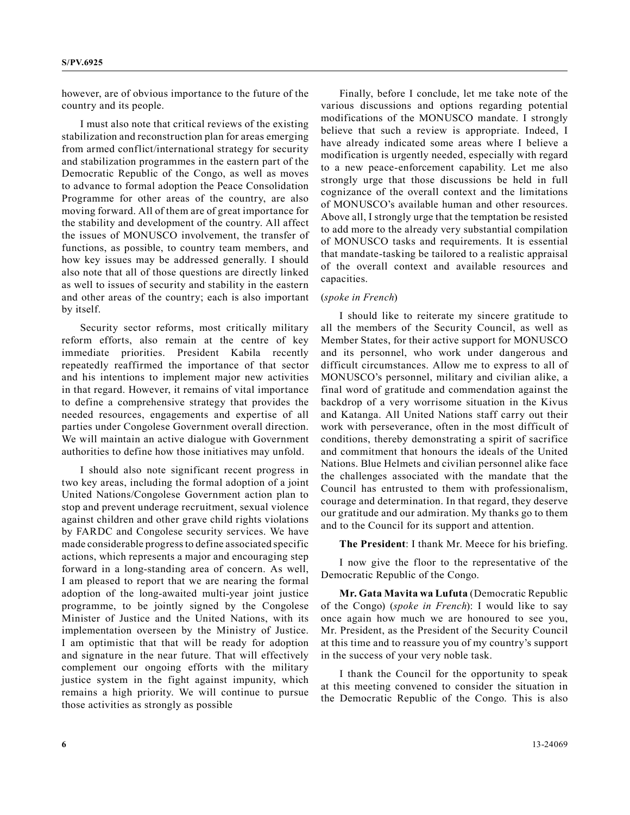however, are of obvious importance to the future of the country and its people.

I must also note that critical reviews of the existing stabilization and reconstruction plan for areas emerging from armed conflict/international strategy for security and stabilization programmes in the eastern part of the Democratic Republic of the Congo, as well as moves to advance to formal adoption the Peace Consolidation Programme for other areas of the country, are also moving forward. All of them are of great importance for the stability and development of the country. All affect the issues of MONUSCO involvement, the transfer of functions, as possible, to country team members, and how key issues may be addressed generally. I should also note that all of those questions are directly linked as well to issues of security and stability in the eastern and other areas of the country; each is also important by itself.

Security sector reforms, most critically military reform efforts, also remain at the centre of key immediate priorities. President Kabila recently repeatedly reaffirmed the importance of that sector and his intentions to implement major new activities in that regard. However, it remains of vital importance to define a comprehensive strategy that provides the needed resources, engagements and expertise of all parties under Congolese Government overall direction. We will maintain an active dialogue with Government authorities to define how those initiatives may unfold.

I should also note significant recent progress in two key areas, including the formal adoption of a joint United Nations/Congolese Government action plan to stop and prevent underage recruitment, sexual violence against children and other grave child rights violations by FARDC and Congolese security services. We have made considerable progress to define associated specific actions, which represents a major and encouraging step forward in a long-standing area of concern. As well, I am pleased to report that we are nearing the formal adoption of the long-awaited multi-year joint justice programme, to be jointly signed by the Congolese Minister of Justice and the United Nations, with its implementation overseen by the Ministry of Justice. I am optimistic that that will be ready for adoption and signature in the near future. That will effectively complement our ongoing efforts with the military justice system in the fight against impunity, which remains a high priority. We will continue to pursue those activities as strongly as possible

Finally, before I conclude, let me take note of the various discussions and options regarding potential modifications of the MONUSCO mandate. I strongly believe that such a review is appropriate. Indeed, I have already indicated some areas where I believe a modification is urgently needed, especially with regard to a new peace-enforcement capability. Let me also strongly urge that those discussions be held in full cognizance of the overall context and the limitations of MONUSCO's available human and other resources. Above all, I strongly urge that the temptation be resisted to add more to the already very substantial compilation of MONUSCO tasks and requirements. It is essential that mandate-tasking be tailored to a realistic appraisal of the overall context and available resources and capacities.

### (*spoke in French*)

I should like to reiterate my sincere gratitude to all the members of the Security Council, as well as Member States, for their active support for MONUSCO and its personnel, who work under dangerous and difficult circumstances. Allow me to express to all of MONUSCO's personnel, military and civilian alike, a final word of gratitude and commendation against the backdrop of a very worrisome situation in the Kivus and Katanga. All United Nations staff carry out their work with perseverance, often in the most difficult of conditions, thereby demonstrating a spirit of sacrifice and commitment that honours the ideals of the United Nations. Blue Helmets and civilian personnel alike face the challenges associated with the mandate that the Council has entrusted to them with professionalism, courage and determination. In that regard, they deserve our gratitude and our admiration. My thanks go to them and to the Council for its support and attention.

**The President**: I thank Mr. Meece for his briefing.

I now give the floor to the representative of the Democratic Republic of the Congo.

**Mr. Gata Mavita wa Lufuta** (Democratic Republic of the Congo) (*spoke in French*): I would like to say once again how much we are honoured to see you, Mr. President, as the President of the Security Council at this time and to reassure you of my country's support in the success of your very noble task.

I thank the Council for the opportunity to speak at this meeting convened to consider the situation in the Democratic Republic of the Congo. This is also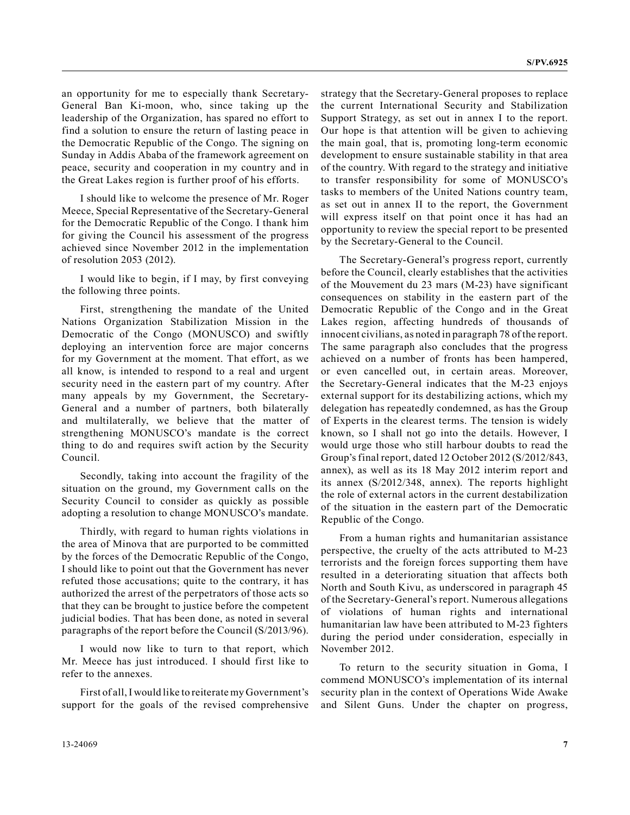an opportunity for me to especially thank Secretary-General Ban Ki-moon, who, since taking up the leadership of the Organization, has spared no effort to find a solution to ensure the return of lasting peace in the Democratic Republic of the Congo. The signing on Sunday in Addis Ababa of the framework agreement on peace, security and cooperation in my country and in the Great Lakes region is further proof of his efforts.

I should like to welcome the presence of Mr. Roger Meece, Special Representative of the Secretary-General for the Democratic Republic of the Congo. I thank him for giving the Council his assessment of the progress achieved since November 2012 in the implementation of resolution 2053 (2012).

I would like to begin, if I may, by first conveying the following three points.

First, strengthening the mandate of the United Nations Organization Stabilization Mission in the Democratic of the Congo (MONUSCO) and swiftly deploying an intervention force are major concerns for my Government at the moment. That effort, as we all know, is intended to respond to a real and urgent security need in the eastern part of my country. After many appeals by my Government, the Secretary-General and a number of partners, both bilaterally and multilaterally, we believe that the matter of strengthening MONUSCO's mandate is the correct thing to do and requires swift action by the Security Council.

Secondly, taking into account the fragility of the situation on the ground, my Government calls on the Security Council to consider as quickly as possible adopting a resolution to change MONUSCO's mandate.

Thirdly, with regard to human rights violations in the area of Minova that are purported to be committed by the forces of the Democratic Republic of the Congo, I should like to point out that the Government has never refuted those accusations; quite to the contrary, it has authorized the arrest of the perpetrators of those acts so that they can be brought to justice before the competent judicial bodies. That has been done, as noted in several paragraphs of the report before the Council (S/2013/96).

I would now like to turn to that report, which Mr. Meece has just introduced. I should first like to refer to the annexes.

First of all, I would like to reiterate my Government's support for the goals of the revised comprehensive strategy that the Secretary-General proposes to replace the current International Security and Stabilization Support Strategy, as set out in annex I to the report. Our hope is that attention will be given to achieving the main goal, that is, promoting long-term economic development to ensure sustainable stability in that area of the country. With regard to the strategy and initiative to transfer responsibility for some of MONUSCO's tasks to members of the United Nations country team, as set out in annex II to the report, the Government will express itself on that point once it has had an opportunity to review the special report to be presented by the Secretary-General to the Council.

The Secretary-General's progress report, currently before the Council, clearly establishes that the activities of the Mouvement du 23 mars (M-23) have significant consequences on stability in the eastern part of the Democratic Republic of the Congo and in the Great Lakes region, affecting hundreds of thousands of innocent civilians, as noted in paragraph 78 of the report. The same paragraph also concludes that the progress achieved on a number of fronts has been hampered, or even cancelled out, in certain areas. Moreover, the Secretary-General indicates that the M-23 enjoys external support for its destabilizing actions, which my delegation has repeatedly condemned, as has the Group of Experts in the clearest terms. The tension is widely known, so I shall not go into the details. However, I would urge those who still harbour doubts to read the Group's final report, dated 12 October 2012 (S/2012/843, annex), as well as its 18 May 2012 interim report and its annex (S/2012/348, annex). The reports highlight the role of external actors in the current destabilization of the situation in the eastern part of the Democratic Republic of the Congo.

From a human rights and humanitarian assistance perspective, the cruelty of the acts attributed to M-23 terrorists and the foreign forces supporting them have resulted in a deteriorating situation that affects both North and South Kivu, as underscored in paragraph 45 of the Secretary-General's report. Numerous allegations of violations of human rights and international humanitarian law have been attributed to M-23 fighters during the period under consideration, especially in November 2012.

To return to the security situation in Goma, I commend MONUSCO's implementation of its internal security plan in the context of Operations Wide Awake and Silent Guns. Under the chapter on progress,